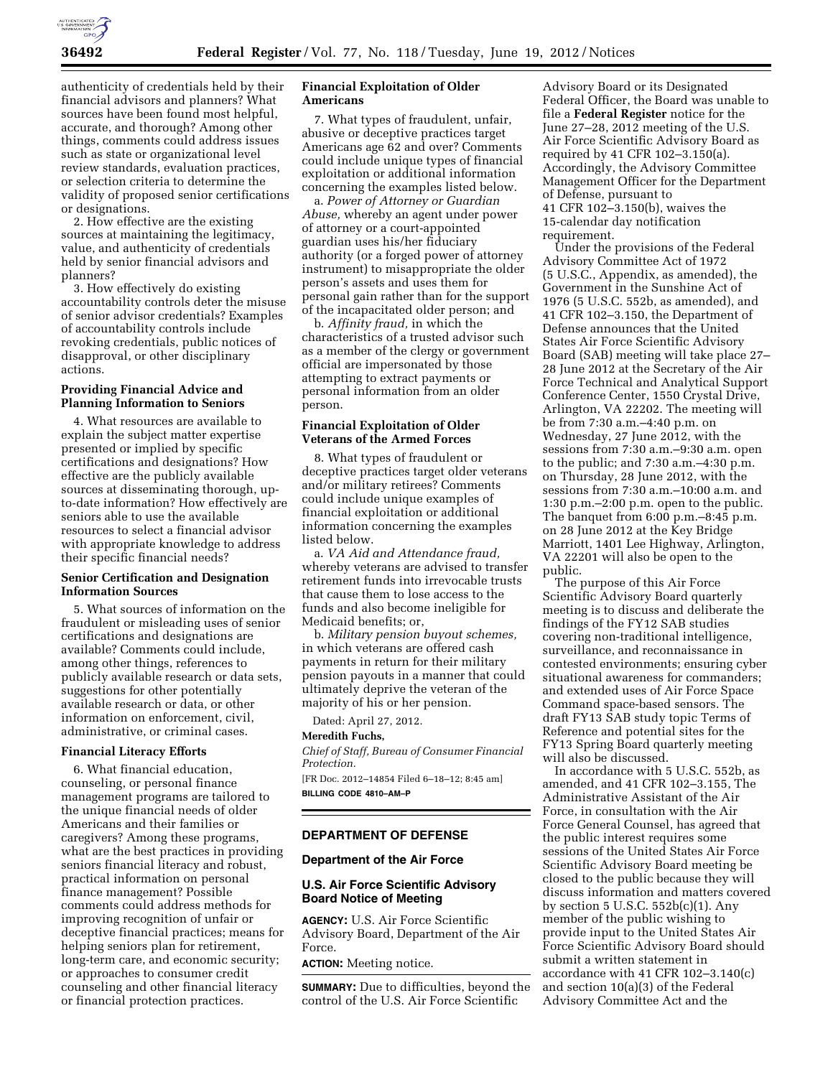

authenticity of credentials held by their financial advisors and planners? What sources have been found most helpful, accurate, and thorough? Among other things, comments could address issues such as state or organizational level review standards, evaluation practices, or selection criteria to determine the validity of proposed senior certifications or designations.

2. How effective are the existing sources at maintaining the legitimacy, value, and authenticity of credentials held by senior financial advisors and planners?

3. How effectively do existing accountability controls deter the misuse of senior advisor credentials? Examples of accountability controls include revoking credentials, public notices of disapproval, or other disciplinary actions.

## **Providing Financial Advice and Planning Information to Seniors**

4. What resources are available to explain the subject matter expertise presented or implied by specific certifications and designations? How effective are the publicly available sources at disseminating thorough, upto-date information? How effectively are seniors able to use the available resources to select a financial advisor with appropriate knowledge to address their specific financial needs?

## **Senior Certification and Designation Information Sources**

5. What sources of information on the fraudulent or misleading uses of senior certifications and designations are available? Comments could include, among other things, references to publicly available research or data sets, suggestions for other potentially available research or data, or other information on enforcement, civil, administrative, or criminal cases.

#### **Financial Literacy Efforts**

6. What financial education, counseling, or personal finance management programs are tailored to the unique financial needs of older Americans and their families or caregivers? Among these programs, what are the best practices in providing seniors financial literacy and robust, practical information on personal finance management? Possible comments could address methods for improving recognition of unfair or deceptive financial practices; means for helping seniors plan for retirement, long-term care, and economic security; or approaches to consumer credit counseling and other financial literacy or financial protection practices.

### **Financial Exploitation of Older Americans**

7. What types of fraudulent, unfair, abusive or deceptive practices target Americans age 62 and over? Comments could include unique types of financial exploitation or additional information concerning the examples listed below.

a. *Power of Attorney or Guardian Abuse,* whereby an agent under power of attorney or a court-appointed guardian uses his/her fiduciary authority (or a forged power of attorney instrument) to misappropriate the older person's assets and uses them for personal gain rather than for the support of the incapacitated older person; and

b. *Affinity fraud,* in which the characteristics of a trusted advisor such as a member of the clergy or government official are impersonated by those attempting to extract payments or personal information from an older person.

## **Financial Exploitation of Older Veterans of the Armed Forces**

8. What types of fraudulent or deceptive practices target older veterans and/or military retirees? Comments could include unique examples of financial exploitation or additional information concerning the examples listed below.

a. *VA Aid and Attendance fraud,*  whereby veterans are advised to transfer retirement funds into irrevocable trusts that cause them to lose access to the funds and also become ineligible for Medicaid benefits; or,

b. *Military pension buyout schemes,*  in which veterans are offered cash payments in return for their military pension payouts in a manner that could ultimately deprive the veteran of the majority of his or her pension.

Dated: April 27, 2012.

#### **Meredith Fuchs,**

*Chief of Staff, Bureau of Consumer Financial Protection.* 

[FR Doc. 2012–14854 Filed 6–18–12; 8:45 am] **BILLING CODE 4810–AM–P** 

#### **DEPARTMENT OF DEFENSE**

#### **Department of the Air Force**

## **U.S. Air Force Scientific Advisory Board Notice of Meeting**

**AGENCY:** U.S. Air Force Scientific Advisory Board, Department of the Air Force.

## **ACTION:** Meeting notice.

**SUMMARY:** Due to difficulties, beyond the control of the U.S. Air Force Scientific

Advisory Board or its Designated Federal Officer, the Board was unable to file a **Federal Register** notice for the June 27–28, 2012 meeting of the U.S. Air Force Scientific Advisory Board as required by 41 CFR 102–3.150(a). Accordingly, the Advisory Committee Management Officer for the Department of Defense, pursuant to 41 CFR 102–3.150(b), waives the 15-calendar day notification requirement.

Under the provisions of the Federal Advisory Committee Act of 1972 (5 U.S.C., Appendix, as amended), the Government in the Sunshine Act of 1976 (5 U.S.C. 552b, as amended), and 41 CFR 102–3.150, the Department of Defense announces that the United States Air Force Scientific Advisory Board (SAB) meeting will take place 27– 28 June 2012 at the Secretary of the Air Force Technical and Analytical Support Conference Center, 1550 Crystal Drive, Arlington, VA 22202. The meeting will be from 7:30 a.m.–4:40 p.m. on Wednesday, 27 June 2012, with the sessions from 7:30 a.m.–9:30 a.m. open to the public; and 7:30 a.m.–4:30 p.m. on Thursday, 28 June 2012, with the sessions from 7:30 a.m.–10:00 a.m. and 1:30 p.m.–2:00 p.m. open to the public. The banquet from 6:00 p.m.–8:45 p.m. on 28 June 2012 at the Key Bridge Marriott, 1401 Lee Highway, Arlington, VA 22201 will also be open to the public.

The purpose of this Air Force Scientific Advisory Board quarterly meeting is to discuss and deliberate the findings of the FY12 SAB studies covering non-traditional intelligence, surveillance, and reconnaissance in contested environments; ensuring cyber situational awareness for commanders; and extended uses of Air Force Space Command space-based sensors. The draft FY13 SAB study topic Terms of Reference and potential sites for the FY13 Spring Board quarterly meeting will also be discussed.

In accordance with 5 U.S.C. 552b, as amended, and 41 CFR 102–3.155, The Administrative Assistant of the Air Force, in consultation with the Air Force General Counsel, has agreed that the public interest requires some sessions of the United States Air Force Scientific Advisory Board meeting be closed to the public because they will discuss information and matters covered by section 5 U.S.C. 552b(c)(1). Any member of the public wishing to provide input to the United States Air Force Scientific Advisory Board should submit a written statement in accordance with 41 CFR 102–3.140(c) and section 10(a)(3) of the Federal Advisory Committee Act and the